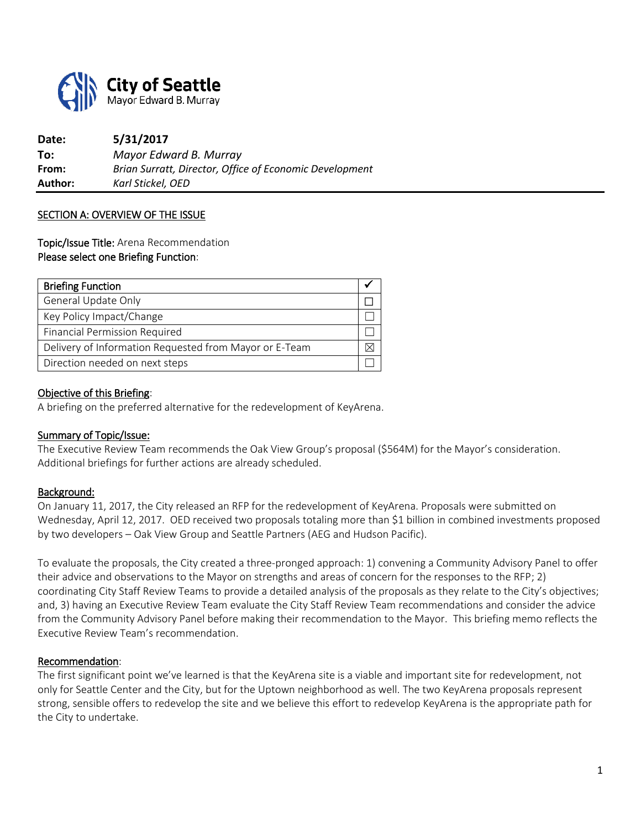

**Date: 5/31/2017 To:** *Mayor Edward B. Murray* **From:** *Brian Surratt, Director, Office of Economic Development* **Author:** *Karl Stickel, OED*

#### SECTION A: OVERVIEW OF THE ISSUE

Topic/Issue Title: Arena Recommendation Please select one Briefing Function:

| <b>Briefing Function</b>                               |  |
|--------------------------------------------------------|--|
| General Update Only                                    |  |
| Key Policy Impact/Change                               |  |
| <b>Financial Permission Required</b>                   |  |
| Delivery of Information Requested from Mayor or E-Team |  |
| Direction needed on next steps                         |  |

#### Objective of this Briefing:

A briefing on the preferred alternative for the redevelopment of KeyArena.

#### Summary of Topic/Issue:

The Executive Review Team recommends the Oak View Group's proposal (\$564M) for the Mayor's consideration. Additional briefings for further actions are already scheduled.

#### Background:

On January 11, 2017, the City released an RFP for the redevelopment of KeyArena. Proposals were submitted on Wednesday, April 12, 2017. OED received two proposals totaling more than \$1 billion in combined investments proposed by two developers – Oak View Group and Seattle Partners (AEG and Hudson Pacific).

To evaluate the proposals, the City created a three-pronged approach: 1) convening a Community Advisory Panel to offer their advice and observations to the Mayor on strengths and areas of concern for the responses to the RFP; 2) coordinating City Staff Review Teams to provide a detailed analysis of the proposals as they relate to the City's objectives; and, 3) having an Executive Review Team evaluate the City Staff Review Team recommendations and consider the advice from the Community Advisory Panel before making their recommendation to the Mayor. This briefing memo reflects the Executive Review Team's recommendation.

#### Recommendation:

The first significant point we've learned is that the KeyArena site is a viable and important site for redevelopment, not only for Seattle Center and the City, but for the Uptown neighborhood as well. The two KeyArena proposals represent strong, sensible offers to redevelop the site and we believe this effort to redevelop KeyArena is the appropriate path for the City to undertake.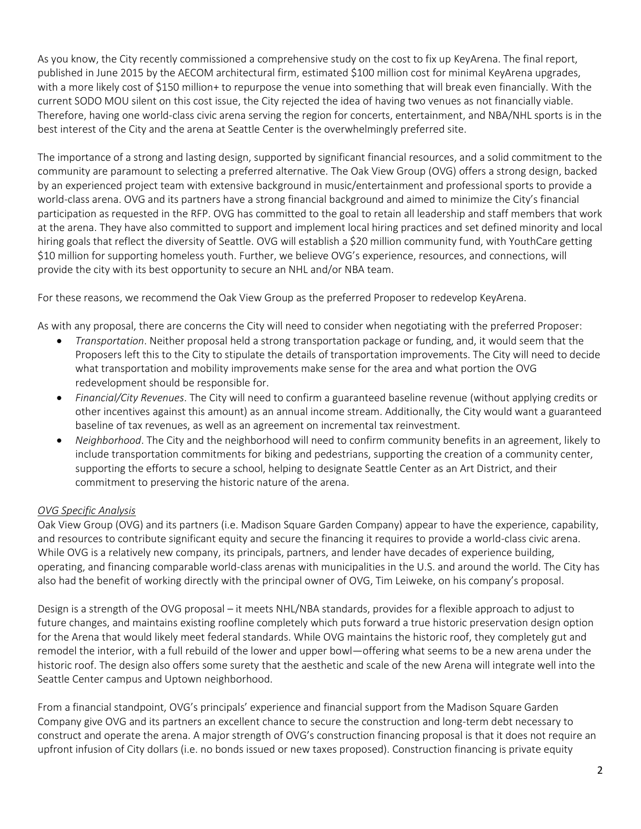As you know, the City recently commissioned a comprehensive study on the cost to fix up KeyArena. The final report, published in June 2015 by the AECOM architectural firm, estimated \$100 million cost for minimal KeyArena upgrades, with a more likely cost of \$150 million+ to repurpose the venue into something that will break even financially. With the current SODO MOU silent on this cost issue, the City rejected the idea of having two venues as not financially viable. Therefore, having one world-class civic arena serving the region for concerts, entertainment, and NBA/NHL sports is in the best interest of the City and the arena at Seattle Center is the overwhelmingly preferred site.

The importance of a strong and lasting design, supported by significant financial resources, and a solid commitment to the community are paramount to selecting a preferred alternative. The Oak View Group (OVG) offers a strong design, backed by an experienced project team with extensive background in music/entertainment and professional sports to provide a world-class arena. OVG and its partners have a strong financial background and aimed to minimize the City's financial participation as requested in the RFP. OVG has committed to the goal to retain all leadership and staff members that work at the arena. They have also committed to support and implement local hiring practices and set defined minority and local hiring goals that reflect the diversity of Seattle. OVG will establish a \$20 million community fund, with YouthCare getting \$10 million for supporting homeless youth. Further, we believe OVG's experience, resources, and connections, will provide the city with its best opportunity to secure an NHL and/or NBA team.

For these reasons, we recommend the Oak View Group as the preferred Proposer to redevelop KeyArena.

As with any proposal, there are concerns the City will need to consider when negotiating with the preferred Proposer:

- *Transportation*. Neither proposal held a strong transportation package or funding, and, it would seem that the Proposers left this to the City to stipulate the details of transportation improvements. The City will need to decide what transportation and mobility improvements make sense for the area and what portion the OVG redevelopment should be responsible for.
- *Financial/City Revenues*. The City will need to confirm a guaranteed baseline revenue (without applying credits or other incentives against this amount) as an annual income stream. Additionally, the City would want a guaranteed baseline of tax revenues, as well as an agreement on incremental tax reinvestment.
- *Neighborhood*. The City and the neighborhood will need to confirm community benefits in an agreement, likely to include transportation commitments for biking and pedestrians, supporting the creation of a community center, supporting the efforts to secure a school, helping to designate Seattle Center as an Art District, and their commitment to preserving the historic nature of the arena.

## *OVG Specific Analysis*

Oak View Group (OVG) and its partners (i.e. Madison Square Garden Company) appear to have the experience, capability, and resources to contribute significant equity and secure the financing it requires to provide a world-class civic arena. While OVG is a relatively new company, its principals, partners, and lender have decades of experience building, operating, and financing comparable world-class arenas with municipalities in the U.S. and around the world. The City has also had the benefit of working directly with the principal owner of OVG, Tim Leiweke, on his company's proposal.

Design is a strength of the OVG proposal – it meets NHL/NBA standards, provides for a flexible approach to adjust to future changes, and maintains existing roofline completely which puts forward a true historic preservation design option for the Arena that would likely meet federal standards. While OVG maintains the historic roof, they completely gut and remodel the interior, with a full rebuild of the lower and upper bowl—offering what seems to be a new arena under the historic roof. The design also offers some surety that the aesthetic and scale of the new Arena will integrate well into the Seattle Center campus and Uptown neighborhood.

From a financial standpoint, OVG's principals' experience and financial support from the Madison Square Garden Company give OVG and its partners an excellent chance to secure the construction and long-term debt necessary to construct and operate the arena. A major strength of OVG's construction financing proposal is that it does not require an upfront infusion of City dollars (i.e. no bonds issued or new taxes proposed). Construction financing is private equity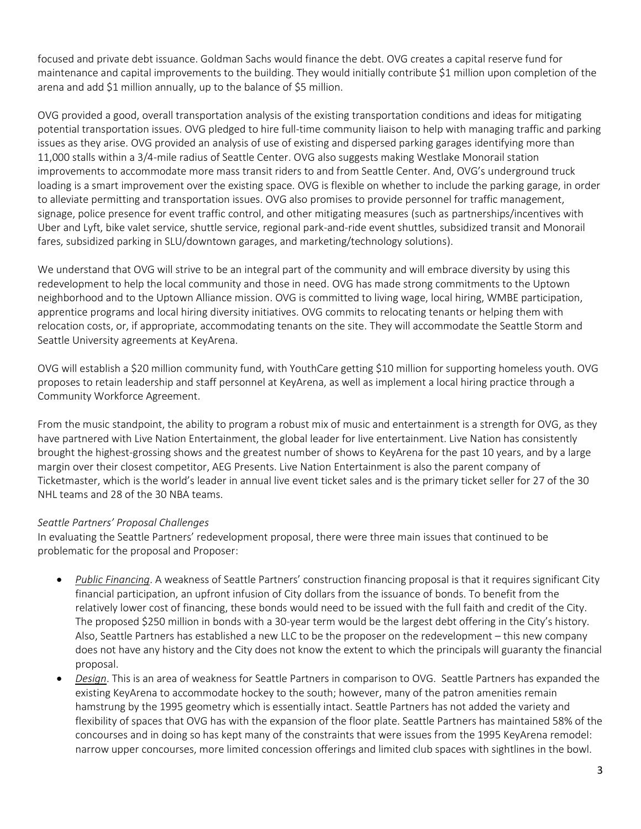focused and private debt issuance. Goldman Sachs would finance the debt. OVG creates a capital reserve fund for maintenance and capital improvements to the building. They would initially contribute \$1 million upon completion of the arena and add \$1 million annually, up to the balance of \$5 million.

OVG provided a good, overall transportation analysis of the existing transportation conditions and ideas for mitigating potential transportation issues. OVG pledged to hire full-time community liaison to help with managing traffic and parking issues as they arise. OVG provided an analysis of use of existing and dispersed parking garages identifying more than 11,000 stalls within a 3/4-mile radius of Seattle Center. OVG also suggests making Westlake Monorail station improvements to accommodate more mass transit riders to and from Seattle Center. And, OVG's underground truck loading is a smart improvement over the existing space. OVG is flexible on whether to include the parking garage, in order to alleviate permitting and transportation issues. OVG also promises to provide personnel for traffic management, signage, police presence for event traffic control, and other mitigating measures (such as partnerships/incentives with Uber and Lyft, bike valet service, shuttle service, regional park-and-ride event shuttles, subsidized transit and Monorail fares, subsidized parking in SLU/downtown garages, and marketing/technology solutions).

We understand that OVG will strive to be an integral part of the community and will embrace diversity by using this redevelopment to help the local community and those in need. OVG has made strong commitments to the Uptown neighborhood and to the Uptown Alliance mission. OVG is committed to living wage, local hiring, WMBE participation, apprentice programs and local hiring diversity initiatives. OVG commits to relocating tenants or helping them with relocation costs, or, if appropriate, accommodating tenants on the site. They will accommodate the Seattle Storm and Seattle University agreements at KeyArena.

OVG will establish a \$20 million community fund, with YouthCare getting \$10 million for supporting homeless youth. OVG proposes to retain leadership and staff personnel at KeyArena, as well as implement a local hiring practice through a Community Workforce Agreement.

From the music standpoint, the ability to program a robust mix of music and entertainment is a strength for OVG, as they have partnered with Live Nation Entertainment, the global leader for live entertainment. Live Nation has consistently brought the highest-grossing shows and the greatest number of shows to KeyArena for the past 10 years, and by a large margin over their closest competitor, AEG Presents. Live Nation Entertainment is also the parent company of Ticketmaster, which is the world's leader in annual live event ticket sales and is the primary ticket seller for 27 of the 30 NHL teams and 28 of the 30 NBA teams.

## *Seattle Partners' Proposal Challenges*

In evaluating the Seattle Partners' redevelopment proposal, there were three main issues that continued to be problematic for the proposal and Proposer:

- *Public Financing*. A weakness of Seattle Partners' construction financing proposal is that it requires significant City financial participation, an upfront infusion of City dollars from the issuance of bonds. To benefit from the relatively lower cost of financing, these bonds would need to be issued with the full faith and credit of the City. The proposed \$250 million in bonds with a 30-year term would be the largest debt offering in the City's history. Also, Seattle Partners has established a new LLC to be the proposer on the redevelopment – this new company does not have any history and the City does not know the extent to which the principals will guaranty the financial proposal.
- *Design*. This is an area of weakness for Seattle Partners in comparison to OVG. Seattle Partners has expanded the existing KeyArena to accommodate hockey to the south; however, many of the patron amenities remain hamstrung by the 1995 geometry which is essentially intact. Seattle Partners has not added the variety and flexibility of spaces that OVG has with the expansion of the floor plate. Seattle Partners has maintained 58% of the concourses and in doing so has kept many of the constraints that were issues from the 1995 KeyArena remodel: narrow upper concourses, more limited concession offerings and limited club spaces with sightlines in the bowl.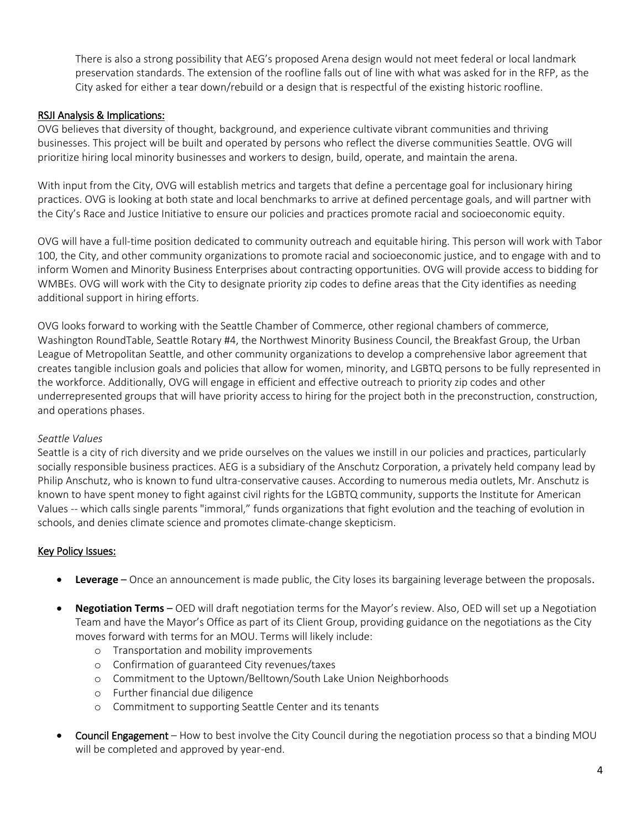There is also a strong possibility that AEG's proposed Arena design would not meet federal or local landmark preservation standards. The extension of the roofline falls out of line with what was asked for in the RFP, as the City asked for either a tear down/rebuild or a design that is respectful of the existing historic roofline.

## RSJI Analysis & Implications:

OVG believes that diversity of thought, background, and experience cultivate vibrant communities and thriving businesses. This project will be built and operated by persons who reflect the diverse communities Seattle. OVG will prioritize hiring local minority businesses and workers to design, build, operate, and maintain the arena.

With input from the City, OVG will establish metrics and targets that define a percentage goal for inclusionary hiring practices. OVG is looking at both state and local benchmarks to arrive at defined percentage goals, and will partner with the City's Race and Justice Initiative to ensure our policies and practices promote racial and socioeconomic equity.

OVG will have a full‐time position dedicated to community outreach and equitable hiring. This person will work with Tabor 100, the City, and other community organizations to promote racial and socioeconomic justice, and to engage with and to inform Women and Minority Business Enterprises about contracting opportunities. OVG will provide access to bidding for WMBEs. OVG will work with the City to designate priority zip codes to define areas that the City identifies as needing additional support in hiring efforts.

OVG looks forward to working with the Seattle Chamber of Commerce, other regional chambers of commerce, Washington RoundTable, Seattle Rotary #4, the Northwest Minority Business Council, the Breakfast Group, the Urban League of Metropolitan Seattle, and other community organizations to develop a comprehensive labor agreement that creates tangible inclusion goals and policies that allow for women, minority, and LGBTQ persons to be fully represented in the workforce. Additionally, OVG will engage in efficient and effective outreach to priority zip codes and other underrepresented groups that will have priority access to hiring for the project both in the preconstruction, construction, and operations phases.

## *Seattle Values*

Seattle is a city of rich diversity and we pride ourselves on the values we instill in our policies and practices, particularly socially responsible business practices. AEG is a subsidiary of the Anschutz Corporation, a privately held company lead by Philip Anschutz, who is known to fund ultra-conservative causes. According to numerous media outlets, Mr. Anschutz is known to have spent money to fight against civil rights for the LGBTQ community, supports the Institute for American Values -- which calls single parents "immoral," funds organizations that fight evolution and the teaching of evolution in schools, and denies climate science and promotes climate-change skepticism.

## Key Policy Issues:

- **Leverage** Once an announcement is made public, the City loses its bargaining leverage between the proposals.
- **Negotiation Terms** OED will draft negotiation terms for the Mayor's review. Also, OED will set up a Negotiation Team and have the Mayor's Office as part of its Client Group, providing guidance on the negotiations as the City moves forward with terms for an MOU. Terms will likely include:
	- o Transportation and mobility improvements
	- o Confirmation of guaranteed City revenues/taxes
	- o Commitment to the Uptown/Belltown/South Lake Union Neighborhoods
	- o Further financial due diligence
	- o Commitment to supporting Seattle Center and its tenants
- Council Engagement How to best involve the City Council during the negotiation process so that a binding MOU will be completed and approved by year-end.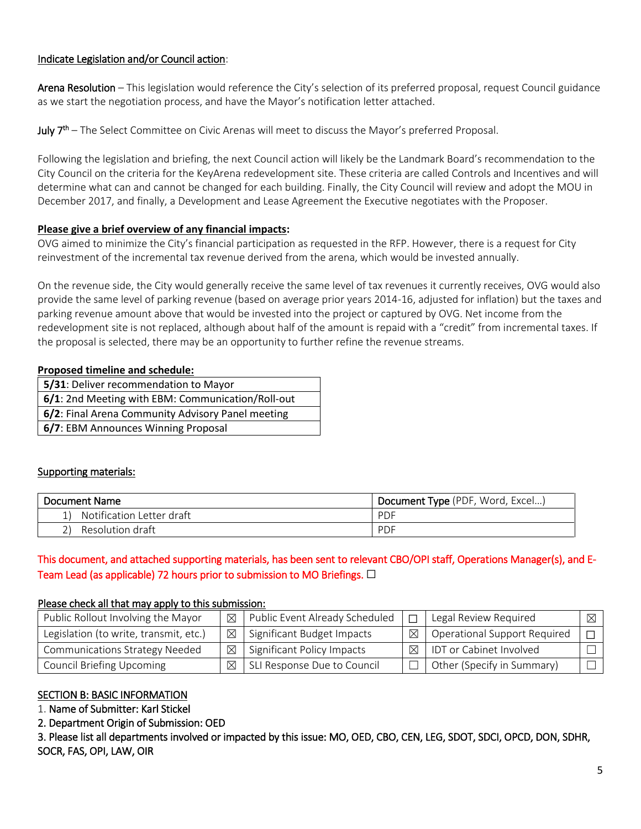## Indicate Legislation and/or Council action:

Arena Resolution – This legislation would reference the City's selection of its preferred proposal, request Council guidance as we start the negotiation process, and have the Mayor's notification letter attached.

**July**  $7<sup>th</sup>$  – The Select Committee on Civic Arenas will meet to discuss the Mayor's preferred Proposal.

Following the legislation and briefing, the next Council action will likely be the Landmark Board's recommendation to the City Council on the criteria for the KeyArena redevelopment site. These criteria are called Controls and Incentives and will determine what can and cannot be changed for each building. Finally, the City Council will review and adopt the MOU in December 2017, and finally, a Development and Lease Agreement the Executive negotiates with the Proposer.

#### **Please give a brief overview of any financial impacts:**

OVG aimed to minimize the City's financial participation as requested in the RFP. However, there is a request for City reinvestment of the incremental tax revenue derived from the arena, which would be invested annually.

On the revenue side, the City would generally receive the same level of tax revenues it currently receives, OVG would also provide the same level of parking revenue (based on average prior years 2014-16, adjusted for inflation) but the taxes and parking revenue amount above that would be invested into the project or captured by OVG. Net income from the redevelopment site is not replaced, although about half of the amount is repaid with a "credit" from incremental taxes. If the proposal is selected, there may be an opportunity to further refine the revenue streams.

#### **Proposed timeline and schedule:**

**5/31**: Deliver recommendation to Mayor

**6/1**: 2nd Meeting with EBM: Communication/Roll-out

**6/2**: Final Arena Community Advisory Panel meeting

**6/7**: EBM Announces Winning Proposal

## Supporting materials:

| Document Name             | Document Type (PDF, Word, Excel) |
|---------------------------|----------------------------------|
| Notification Letter draft | <b>PDF</b>                       |
| Resolution draft          | PDF                              |

# This document, and attached supporting materials, has been sent to relevant CBO/OPI staff, Operations Manager(s), and E-Team Lead (as applicable) 72 hours prior to submission to MO Briefings.  $\Box$

#### Please check all that may apply to this submission:

| Public Rollout Involving the Mayor     | ⊠ | Public Event Already Scheduled          |   | Legal Review Required               | ⊠ |
|----------------------------------------|---|-----------------------------------------|---|-------------------------------------|---|
| Legislation (to write, transmit, etc.) |   | $\boxtimes$ Significant Budget Impacts  | ⊠ | <b>Operational Support Required</b> |   |
| <b>Communications Strategy Needed</b>  |   | $\boxtimes$ Significant Policy Impacts  | ⊠ | IDT or Cabinet Involved             |   |
| <b>Council Briefing Upcoming</b>       |   | $\boxtimes$ SLI Response Due to Council |   | Other (Specify in Summary)          |   |

## SECTION B: BASIC INFORMATION

1. Name of Submitter: Karl Stickel

#### 2. Department Origin of Submission: OED

3. Please list all departments involved or impacted by this issue: MO, OED, CBO, CEN, LEG, SDOT, SDCI, OPCD, DON, SDHR, SOCR, FAS, OPI, LAW, OIR